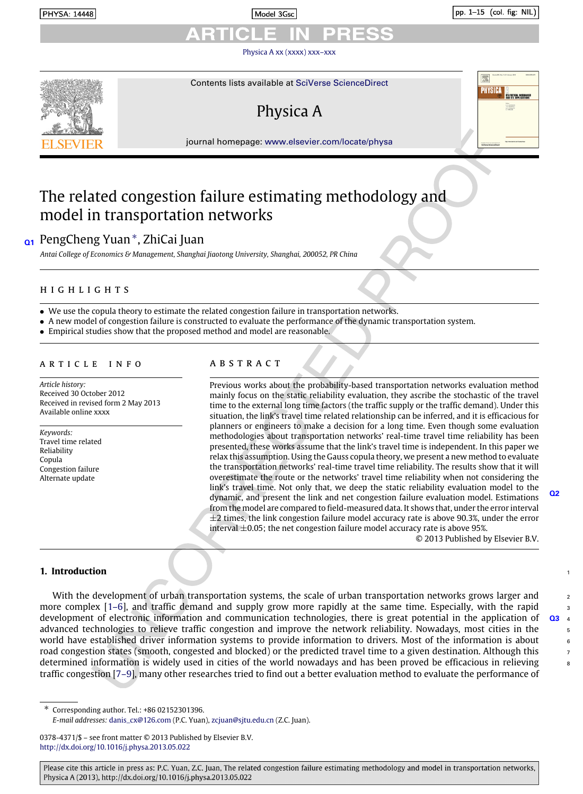Model 3Gsc

pp. 1-15 (col. fig: NIL)

[Physica A xx \(xxxx\) xxx–xxx](http://dx.doi.org/10.1016/j.physa.2013.05.022)



Contents lists available at [SciVerse ScienceDirect](http://www.elsevier.com/locate/physa)

# Physica A

journal homepage: [www.elsevier.com/locate/physa](http://www.elsevier.com/locate/physa)

## The related congestion failure estimating methodology and model in transportation networks

## **Q1** PengCheng Yuan[∗](#page-0-0) , ZhiCai Juan

*Antai College of Economics & Management, Shanghai Jiaotong University, Shanghai, 200052, PR China*

## h i g h l i g h t s

- We use the copula theory to estimate the related congestion failure in transportation networks.
- A new model of congestion failure is constructed to evaluate the performance of the dynamic transportation system.
- Empirical studies show that the proposed method and model are reasonable.

#### ARTICLE INFO

*Article history:* Received 30 October 2012 Received in revised form 2 May 2013 Available online xxxx

*Keywords:* Travel time related Reliability Copula Congestion failure Alternate update

## a b s t r a c t

Previous works about the probability-based transportation networks evaluation method mainly focus on the static reliability evaluation, they ascribe the stochastic of the travel time to the external long time factors (the traffic supply or the traffic demand). Under this situation, the link's travel time related relationship can be inferred, and it is efficacious for planners or engineers to make a decision for a long time. Even though some evaluation methodologies about transportation networks' real-time travel time reliability has been presented, these works assume that the link's travel time is independent. In this paper we relax this assumption. Using the Gauss copula theory, we present a new method to evaluate the transportation networks' real-time travel time reliability. The results show that it will overestimate the route or the networks' travel time reliability when not considering the link's travel time. Not only that, we deep the static reliability evaluation model to the dynamic, and present the link and net congestion failure evaluation model. Estimations from the model are compared to field-measured data. It shows that, under the error interval  $\pm$ 2 times, the link congestion failure model accuracy rate is above 90.3%, under the error interval  $\pm 0.05$ ; the net congestion failure model accuracy rate is above 95%.

© 2013 Published by Elsevier B.V.

**Q2**

 $\overline{2}$ 

#### **1. Introduction** <sup>1</sup>

With the development of urban transportation systems, the scale of urban transportation networks grows larger and more complex  $[1-6]$ , and traffic demand and supply grow more rapidly at the same time. Especially, with the rapid  $\frac{3}{2}$ development of electronic information and communication technologies, there is great potential in the application of **Q3** <sup>4</sup> advanced technologies to relieve traffic congestion and improve the network reliability. Nowadays, most cities in the 5 world have established driver information systems to provide information to drivers. Most of the information is about  $6.6$ road congestion states (smooth, congested and blocked) or the predicted travel time to a given destination. Although this determined information is widely used in cities of the world nowadays and has been proved be efficacious in relieving  $\bullet$ traffic congestion [\[7–9\]](#page--1-1), many other researches tried to find out a better evaluation method to evaluate the performance of

<span id="page-0-0"></span>∗ Corresponding author. Tel.: +86 02152301396.

Please cite this article in press as: P.C. Yuan, Z.C. Juan, The related congestion failure estimating methodology and model in transportation networks, Physica A (2013), http://dx.doi.org/10.1016/j.physa.2013.05.022

*E-mail addresses:* [danis\\_cx@126.com](mailto:danis_cx@126.com) (P.C. Yuan), [zcjuan@sjtu.edu.cn](mailto:zcjuan@sjtu.edu.cn) (Z.C. Juan).

<sup>0378-4371/\$ –</sup> see front matter © 2013 Published by Elsevier B.V. <http://dx.doi.org/10.1016/j.physa.2013.05.022>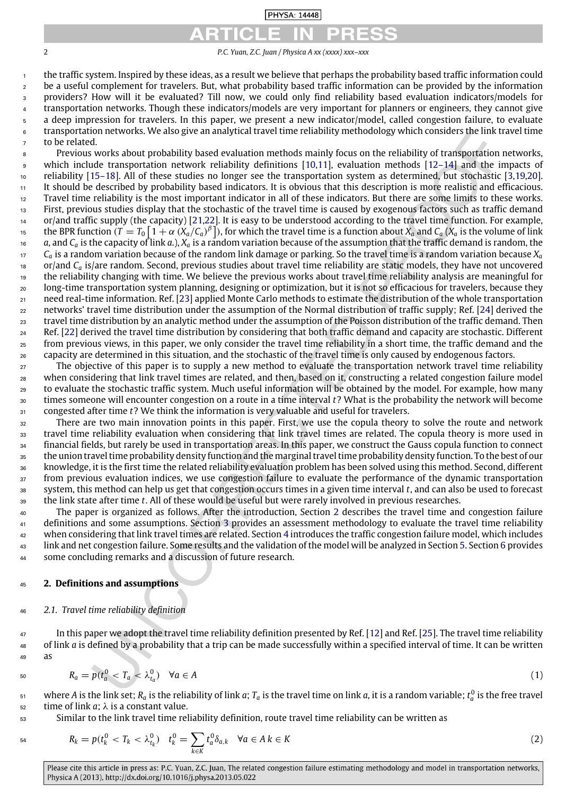### **PHYSA: 14448**

*P.C. Yuan, Z.C. Juan / Physica A xx (xxxx) xxx–xxx*

 the traffic system. Inspired by these ideas, as a result we believe that perhaps the probability based traffic information could be a useful complement for travelers. But, what probability based traffic information can be provided by the information providers? How will it be evaluated? Till now, we could only find reliability based evaluation indicators/models for transportation networks. Though these indicators/models are very important for planners or engineers, they cannot give a deep impression for travelers. In this paper, we present a new indicator/model, called congestion failure, to evaluate transportation networks. We also give an analytical travel time reliability methodology which considers the link travel time to be related.

 Previous works about probability based evaluation methods mainly focus on the reliability of transportation networks, which include transportation network reliability definitions [\[10,](#page--1-2)[11\]](#page--1-3), evaluation methods [\[12–14\]](#page--1-4) and the impacts of reliability [\[15–18\]](#page--1-5). All of these studies no longer see the transportation system as determined, but stochastic [\[3](#page--1-6)[,19,](#page--1-7)[20\]](#page--1-8). It should be described by probability based indicators. It is obvious that this description is more realistic and efficacious. Travel time reliability is the most important indicator in all of these indicators. But there are some limits to these works. First, previous studies display that the stochastic of the travel time is caused by exogenous factors such as traffic demand or/and traffic supply (the capacity) [\[21](#page--1-9)[,22\]](#page--1-10). It is easy to be understood according to the travel time function. For example, the BPR function ( $T = T_0 \left[1 + \alpha \ (X_a/C_a)^{\beta}\right]$ ), for which the travel time is a function about  $X_a$  and  $C_a$  ( $X_a$  is the volume of link  $\alpha$ , and  $C_a$  is the capacity of link  $a$ .),  $X_a$  is a random variation because of the assumption that the traffic demand is random, the  $r_7$  *C<sub>a</sub>* is a random variation because of the random link damage or parking. So the travel time is a random variation because  $X_a$ <sup>18</sup> or/and C<sub>a</sub> is/are random. Second, previous studies about travel time reliability are static models, they have not uncovered the reliability changing with time. We believe the previous works about travel time reliability analysis are meaningful for long-time transportation system planning, designing or optimization, but it is not so efficacious for travelers, because they need real-time information. Ref. [\[23\]](#page--1-11) applied Monte Carlo methods to estimate the distribution of the whole transportation networks' travel time distribution under the assumption of the Normal distribution of traffic supply; Ref. [\[24\]](#page--1-12) derived the travel time distribution by an analytic method under the assumption of the Poisson distribution of the traffic demand. Then Ref. [\[22\]](#page--1-10) derived the travel time distribution by considering that both traffic demand and capacity are stochastic. Different from previous views, in this paper, we only consider the travel time reliability in a short time, the traffic demand and the <sub>26</sub> capacity are determined in this situation, and the stochastic of the travel time is only caused by endogenous factors.

<sub>27</sub> The objective of this paper is to supply a new method to evaluate the transportation network travel time reliability when considering that link travel times are related, and then, based on it, constructing a related congestion failure model to evaluate the stochastic traffic system. Much useful information will be obtained by the model. For example, how many times someone will encounter congestion on a route in a time interval *t*? What is the probability the network will become congested after time *t*? We think the information is very valuable and useful for travelers.

 There are two main innovation points in this paper. First, we use the copula theory to solve the route and network travel time reliability evaluation when considering that link travel times are related. The copula theory is more used in financial fields, but rarely be used in transportation areas. In this paper, we construct the Gauss copula function to connect the union travel time probability density function and the marginal travel time probability density function. To the best of our knowledge, it is the first time the related reliability evaluation problem has been solved using this method. Second, different from previous evaluation indices, we use congestion failure to evaluate the performance of the dynamic transportation system, this method can help us get that congestion occurs times in a given time interval *t*, and can also be used to forecast the link state after time *t*. All of these would be useful but were rarely involved in previous researches.

 The paper is organized as follows. After the introduction, Section [2](#page-1-0) describes the travel time and congestion failure definitions and some assumptions. Section [3](#page--1-13) provides an assessment methodology to evaluate the travel time reliability when considering that link travel times are related. Section [4](#page--1-14) introduces the traffic congestion failure model, which includes link and net congestion failure. Some results and the validation of the model will be analyzed in Section [5.](#page--1-15) Section [6](#page--1-16) provides some concluding remarks and a discussion of future research.

#### <span id="page-1-0"></span>**2. Definitions and assumptions**

### *2.1. Travel time reliability definition*

 In this paper we adopt the travel time reliability definition presented by Ref. [\[12\]](#page--1-4) and Ref. [\[25\]](#page--1-17). The travel time reliability of link *a* is defined by a probability that a trip can be made successfully within a specified interval of time. It can be written as

$$
R_a = p(t_a^0 < T_a < \lambda_{t_a}^0) \quad \forall a \in A \tag{1}
$$

 $_5$ 1 where A is the link set;  $R_a$  is the reliability of link  $a;$   $T_a$  is the travel time on link  $a$ , it is a random variable;  $t_a^0$  is the free travel time of link *a*;  $\lambda$  is a constant value.

Similar to the link travel time reliability definition, route travel time reliability can be written as

$$
R_k = p(t_k^0 < T_k < \lambda_{t_k}^0) \quad t_k^0 = \sum_{k \in K} t_a^0 \delta_{a,k} \quad \forall a \in A \, k \in K \tag{2}
$$

Please cite this article in press as: P.C. Yuan, Z.C. Juan, The related congestion failure estimating methodology and model in transportation networks, Physica A (2013), http://dx.doi.org/10.1016/j.physa.2013.05.022